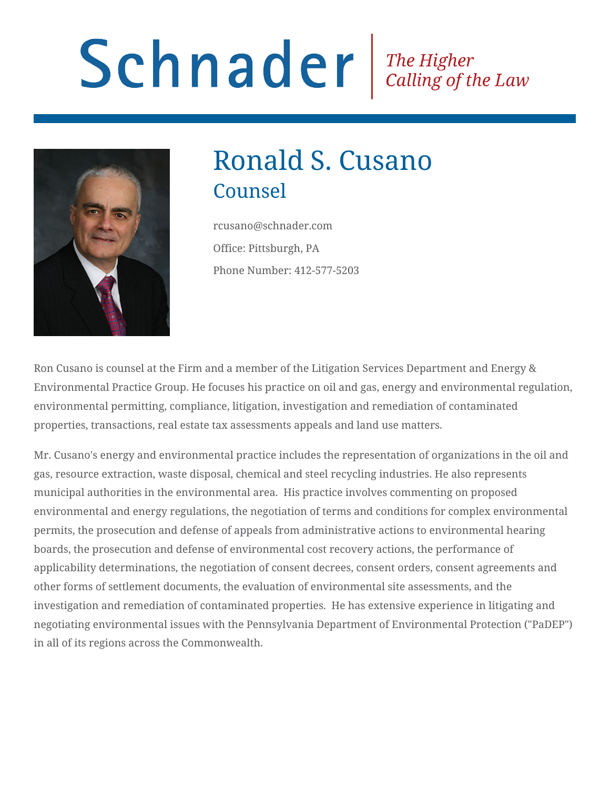# Schnader Fine Higher Calling of the Law



# Ronald S. Cusano Counsel

rcusano@schnader.com Office: Pittsburgh, PA Phone Number: 412-577-5203

Ron Cusano is counsel at the Firm and a member of the Litigation Services Department and Energy & Environmental Practice Group. He focuses his practice on oil and gas, energy and environmental regulation, environmental permitting, compliance, litigation, investigation and remediation of contaminated properties, transactions, real estate tax assessments appeals and land use matters.

Mr. Cusano's energy and environmental practice includes the representation of organizations in the oil and gas, resource extraction, waste disposal, chemical and steel recycling industries. He also represents municipal authorities in the environmental area. His practice involves commenting on proposed environmental and energy regulations, the negotiation of terms and conditions for complex environmental permits, the prosecution and defense of appeals from administrative actions to environmental hearing boards, the prosecution and defense of environmental cost recovery actions, the performance of applicability determinations, the negotiation of consent decrees, consent orders, consent agreements and other forms of settlement documents, the evaluation of environmental site assessments, and the investigation and remediation of contaminated properties. He has extensive experience in litigating and negotiating environmental issues with the Pennsylvania Department of Environmental Protection ("PaDEP") in all of its regions across the Commonwealth.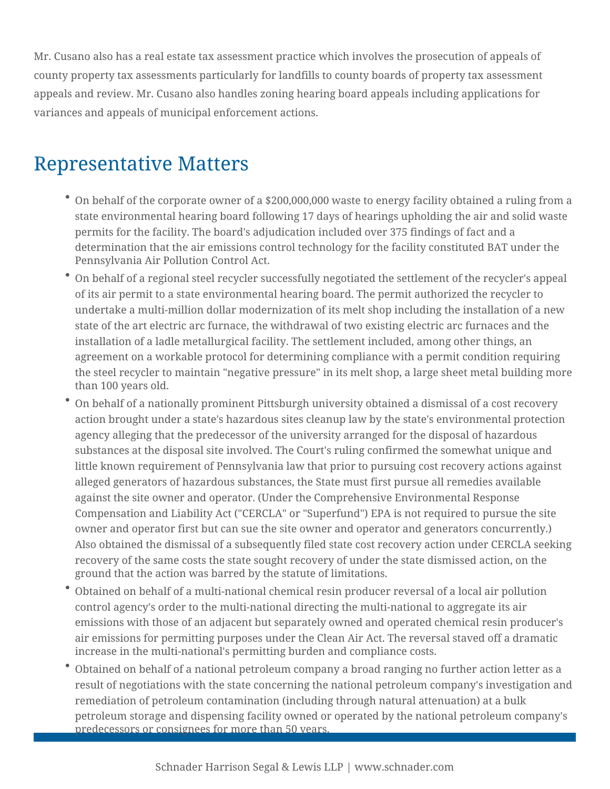Mr. Cusano also has a real estate tax assessment practice which involves the prosecution of appeals of county property tax assessments particularly for landfills to county boards of property tax assessment appeals and review. Mr. Cusano also handles zoning hearing board appeals including applications for variances and appeals of municipal enforcement actions.

# Representative Matters

- $\degree$  On behalf of the corporate owner of a \$200,000,000 waste to energy facility obtained a ruling from a state environmental hearing board following 17 days of hearings upholding the air and solid waste permits for the facility. The board's adjudication included over 375 findings of fact and a determination that the air emissions control technology for the facility constituted BAT under the Pennsylvania Air Pollution Control Act.
- On behalf of a regional steel recycler successfully negotiated the settlement of the recycler's appeal of its air permit to a state environmental hearing board. The permit authorized the recycler to undertake a multi-million dollar modernization of its melt shop including the installation of a new state of the art electric arc furnace, the withdrawal of two existing electric arc furnaces and the installation of a ladle metallurgical facility. The settlement included, among other things, an agreement on a workable protocol for determining compliance with a permit condition requiring the steel recycler to maintain "negative pressure" in its melt shop, a large sheet metal building more than 100 years old.
- On behalf of a nationally prominent Pittsburgh university obtained a dismissal of a cost recovery action brought under a state's hazardous sites cleanup law by the state's environmental protection agency alleging that the predecessor of the university arranged for the disposal of hazardous substances at the disposal site involved. The Court's ruling confirmed the somewhat unique and little known requirement of Pennsylvania law that prior to pursuing cost recovery actions against alleged generators of hazardous substances, the State must first pursue all remedies available against the site owner and operator. (Under the Comprehensive Environmental Response Compensation and Liability Act ("CERCLA" or "Superfund") EPA is not required to pursue the site owner and operator first but can sue the site owner and operator and generators concurrently.) Also obtained the dismissal of a subsequently filed state cost recovery action under CERCLA seeking recovery of the same costs the state sought recovery of under the state dismissed action, on the ground that the action was barred by the statute of limitations.
- Obtained on behalf of a multi-national chemical resin producer reversal of a local air pollution control agency's order to the multi-national directing the multi-national to aggregate its air emissions with those of an adjacent but separately owned and operated chemical resin producer's air emissions for permitting purposes under the Clean Air Act. The reversal staved off a dramatic increase in the multi-national's permitting burden and compliance costs.
- Obtained on behalf of a national petroleum company a broad ranging no further action letter as a result of negotiations with the state concerning the national petroleum company's investigation and remediation of petroleum contamination (including through natural attenuation) at a bulk petroleum storage and dispensing facility owned or operated by the national petroleum company's predecessors or consignees for more than 50 years.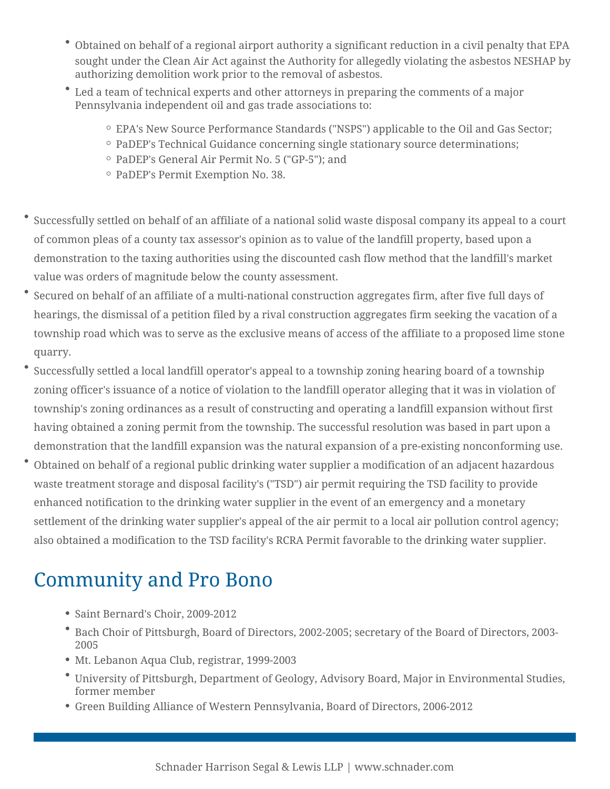- Obtained on behalf of a regional airport authority a significant reduction in a civil penalty that EPA sought under the Clean Air Act against the Authority for allegedly violating the asbestos NESHAP by authorizing demolition work prior to the removal of asbestos.
- Led a team of technical experts and other attorneys in preparing the comments of a major Pennsylvania independent oil and gas trade associations to:
	- EPA's New Source Performance Standards ("NSPS") applicable to the Oil and Gas Sector;
	- <sup>o</sup> PaDEP's Technical Guidance concerning single stationary source determinations;
	- PaDEP's General Air Permit No. 5 ("GP-5"); and
	- PaDEP's Permit Exemption No. 38.
- Successfully settled on behalf of an affiliate of a national solid waste disposal company its appeal to a court of common pleas of a county tax assessor's opinion as to value of the landfill property, based upon a demonstration to the taxing authorities using the discounted cash flow method that the landfill's market value was orders of magnitude below the county assessment.
- Secured on behalf of an affiliate of a multi-national construction aggregates firm, after five full days of hearings, the dismissal of a petition filed by a rival construction aggregates firm seeking the vacation of a township road which was to serve as the exclusive means of access of the affiliate to a proposed lime stone quarry.
- Successfully settled a local landfill operator's appeal to a township zoning hearing board of a township zoning officer's issuance of a notice of violation to the landfill operator alleging that it was in violation of township's zoning ordinances as a result of constructing and operating a landfill expansion without first having obtained a zoning permit from the township. The successful resolution was based in part upon a demonstration that the landfill expansion was the natural expansion of a pre-existing nonconforming use.
- Obtained on behalf of a regional public drinking water supplier a modification of an adjacent hazardous waste treatment storage and disposal facility's ("TSD") air permit requiring the TSD facility to provide enhanced notification to the drinking water supplier in the event of an emergency and a monetary settlement of the drinking water supplier's appeal of the air permit to a local air pollution control agency; also obtained a modification to the TSD facility's RCRA Permit favorable to the drinking water supplier.

# Community and Pro Bono

- Saint Bernard's Choir, 2009-2012
- Bach Choir of Pittsburgh, Board of Directors, 2002-2005; secretary of the Board of Directors, 2003- 2005
- Mt. Lebanon Aqua Club, registrar, 1999-2003
- University of Pittsburgh, Department of Geology, Advisory Board, Major in Environmental Studies, former member
- Green Building Alliance of Western Pennsylvania, Board of Directors, 2006-2012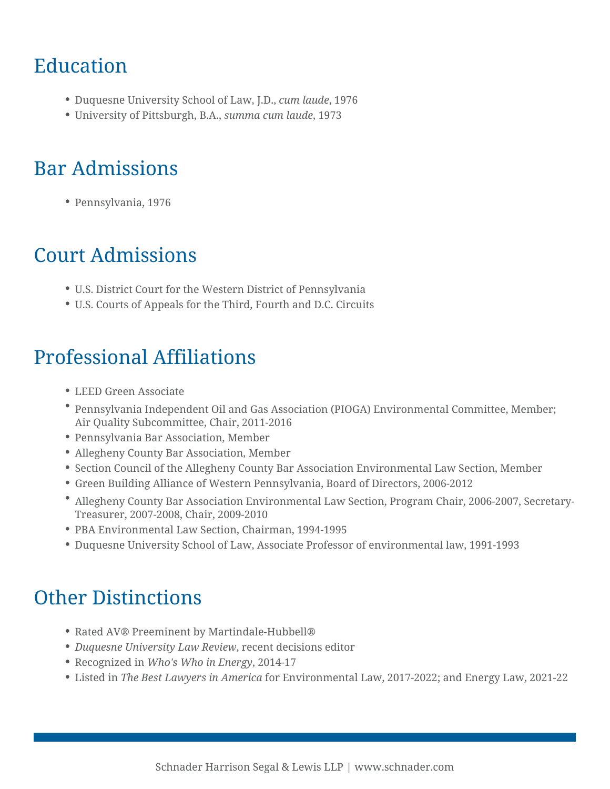# Education

- Duquesne University School of Law, J.D., *cum laude*, 1976
- University of Pittsburgh, B.A., *summa cum laude*, 1973

# Bar Admissions

Pennsylvania, 1976

# Court Admissions

- U.S. District Court for the Western District of Pennsylvania
- U.S. Courts of Appeals for the Third, Fourth and D.C. Circuits

# Professional Affiliations

- LEED Green Associate
- Pennsylvania Independent Oil and Gas Association (PIOGA) Environmental Committee, Member; Air Quality Subcommittee, Chair, 2011-2016
- Pennsylvania Bar Association, Member
- Allegheny County Bar Association, Member
- Section Council of the Allegheny County Bar Association Environmental Law Section, Member
- Green Building Alliance of Western Pennsylvania, Board of Directors, 2006-2012
- Allegheny County Bar Association Environmental Law Section, Program Chair, 2006-2007, Secretary-Treasurer, 2007-2008, Chair, 2009-2010
- PBA Environmental Law Section, Chairman, 1994-1995
- Duquesne University School of Law, Associate Professor of environmental law, 1991-1993

# Other Distinctions

- Rated AV® Preeminent by Martindale-Hubbell®
- *Duquesne University Law Review*, recent decisions editor
- Recognized in *Who's Who in Energy*, 2014-17
- Listed in *The Best Lawyers in America* for Environmental Law, 2017-2022; and Energy Law, 2021-22